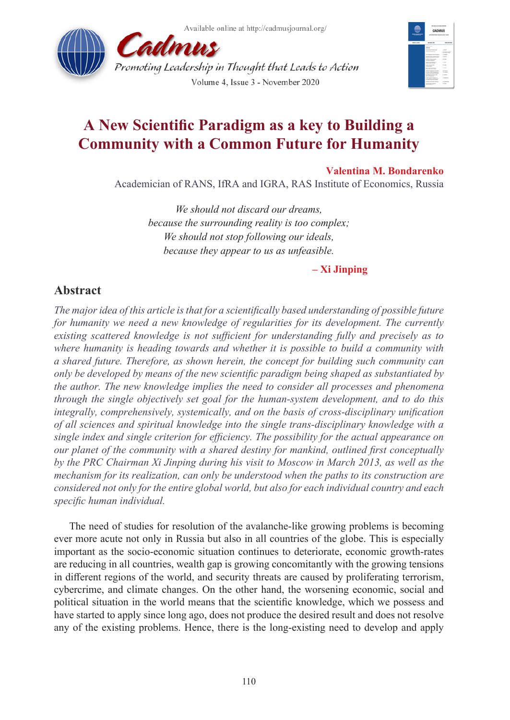Available online at http://cadmusjournal.org/





# **A New Scientific Paradigm as a key to Building a Community with a Common Future for Humanity**

# **Valentina M. Bondarenko**

Academician of RANS, IfRA and IGRA, RAS Institute of Economics, Russia

*We should not discard our dreams, because the surrounding reality is too complex; We should not stop following our ideals, because they appear to us as unfeasible.* 

# **– Xi Jinping**

# **Abstract**

*The major idea of this article is that for a scientifically based understanding of possible future for humanity we need a new knowledge of regularities for its development. The currently existing scattered knowledge is not sufficient for understanding fully and precisely as to where humanity is heading towards and whether it is possible to build a community with a shared future. Therefore, as shown herein, the concept for building such community can only be developed by means of the new scientific paradigm being shaped as substantiated by the author. The new knowledge implies the need to consider all processes and phenomena through the single objectively set goal for the human-system development, and to do this integrally, comprehensively, systemically, and on the basis of cross-disciplinary unification of all sciences and spiritual knowledge into the single trans-disciplinary knowledge with a single index and single criterion for efficiency. The possibility for the actual appearance on our planet of the community with a shared destiny for mankind, outlined first conceptually by the PRC Chairman Xi Jinping during his visit to Moscow in March 2013, as well as the mechanism for its realization, can only be understood when the paths to its construction are considered not only for the entire global world, but also for each individual country and each specific human individual.*

The need of studies for resolution of the avalanche-like growing problems is becoming ever more acute not only in Russia but also in all countries of the globe. This is especially important as the socio-economic situation continues to deteriorate, economic growth-rates are reducing in all countries, wealth gap is growing concomitantly with the growing tensions in different regions of the world, and security threats are caused by proliferating terrorism, cybercrime, and climate changes. On the other hand, the worsening economic, social and political situation in the world means that the scientific knowledge, which we possess and have started to apply since long ago, does not produce the desired result and does not resolve any of the existing problems. Hence, there is the long-existing need to develop and apply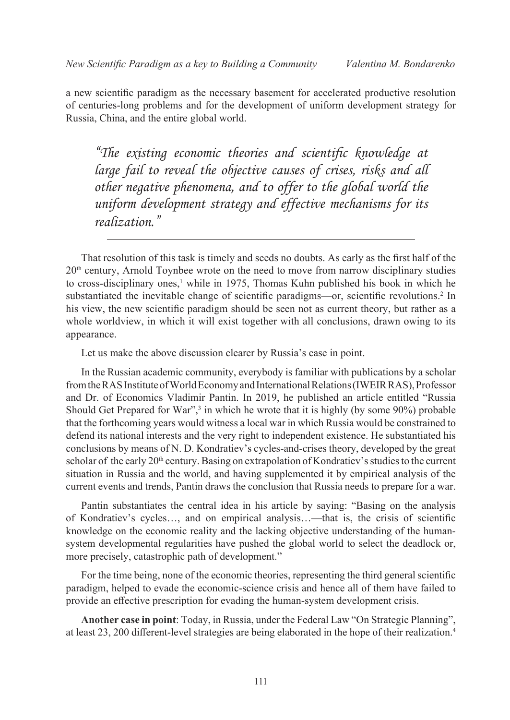a new scientific paradigm as the necessary basement for accelerated productive resolution of centuries-long problems and for the development of uniform development strategy for Russia, China, and the entire global world.

*"The existing economic theories and scientific knowledge at large fail to reveal the objective causes of crises, risks and all other negative phenomena, and to offer to the global world the uniform development strategy and effective mechanisms for its realization."*

That resolution of this task is timely and seeds no doubts. As early as the first half of the 20<sup>th</sup> century, Arnold Toynbee wrote on the need to move from narrow disciplinary studies to cross-disciplinary ones,<sup>[1](#page-8-0)</sup> while in 1975, Thomas Kuhn published his book in which he substantiated the inevitable change of scientific paradigms—or, scientific revolutions.<sup>[2](#page-8-1)</sup> In his view, the new scientific paradigm should be seen not as current theory, but rather as a whole worldview, in which it will exist together with all conclusions, drawn owing to its appearance.

Let us make the above discussion clearer by Russia's case in point.

In the Russian academic community, everybody is familiar with publications by a scholar from the RAS Institute of World Economy and International Relations(IWEIR RAS), Professor and Dr. of Economics Vladimir Pantin. In 2019, he published an article entitled "Russia Should Get Prepared for War", $3$  in which he wrote that it is highly (by some  $90\%$ ) probable that the forthcoming years would witness a local war in which Russia would be constrained to defend its national interests and the very right to independent existence. He substantiated his conclusions by means of N. D. Kondratiev's cycles-and-crises theory, developed by the great scholar of the early  $20<sup>th</sup>$  century. Basing on extrapolation of Kondratiev's studies to the current situation in Russia and the world, and having supplemented it by empirical analysis of the current events and trends, Pantin draws the conclusion that Russia needs to prepare for a war.

Pantin substantiates the central idea in his article by saying: "Basing on the analysis of Kondratiev's cycles…, and on empirical analysis…—that is, the crisis of scientific knowledge on the economic reality and the lacking objective understanding of the humansystem developmental regularities have pushed the global world to select the deadlock or, more precisely, catastrophic path of development."

For the time being, none of the economic theories, representing the third general scientific paradigm, helped to evade the economic-science crisis and hence all of them have failed to provide an effective prescription for evading the human-system development crisis.

**Another case in point**: Today, in Russia, under the Federal Law "On Strategic Planning", at least 23, 200 different-level strategies are being elaborated in the hope of their realization.[4](#page-8-3)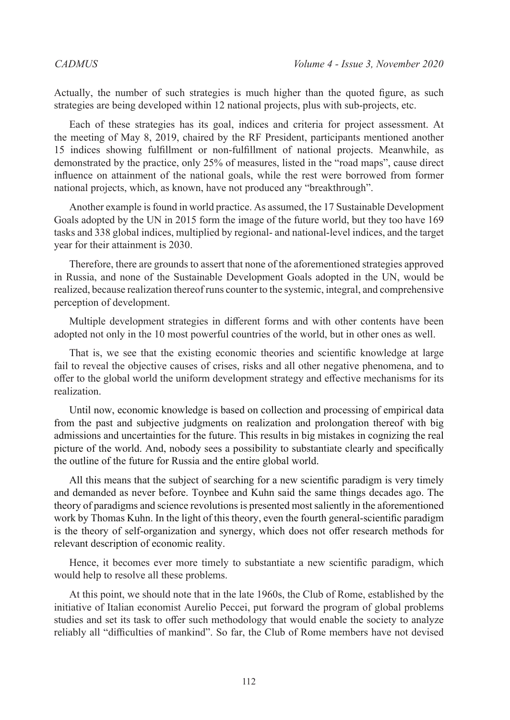Actually, the number of such strategies is much higher than the quoted figure, as such strategies are being developed within 12 national projects, plus with sub-projects, etc.

Each of these strategies has its goal, indices and criteria for project assessment. At the meeting of May 8, 2019, chaired by the RF President, participants mentioned another 15 indices showing fulfillment or non-fulfillment of national projects. Meanwhile, as demonstrated by the practice, only 25% of measures, listed in the "road maps", cause direct influence on attainment of the national goals, while the rest were borrowed from former national projects, which, as known, have not produced any "breakthrough".

Another example is found in world practice. As assumed, the 17 Sustainable Development Goals adopted by the UN in 2015 form the image of the future world, but they too have 169 tasks and 338 global indices, multiplied by regional- and national-level indices, and the target year for their attainment is 2030.

Therefore, there are grounds to assert that none of the aforementioned strategies approved in Russia, and none of the Sustainable Development Goals adopted in the UN, would be realized, because realization thereof runs counter to the systemic, integral, and comprehensive perception of development.

Multiple development strategies in different forms and with other contents have been adopted not only in the 10 most powerful countries of the world, but in other ones as well.

That is, we see that the existing economic theories and scientific knowledge at large fail to reveal the objective causes of crises, risks and all other negative phenomena, and to offer to the global world the uniform development strategy and effective mechanisms for its realization.

Until now, economic knowledge is based on collection and processing of empirical data from the past and subjective judgments on realization and prolongation thereof with big admissions and uncertainties for the future. This results in big mistakes in cognizing the real picture of the world. And, nobody sees a possibility to substantiate clearly and specifically the outline of the future for Russia and the entire global world.

All this means that the subject of searching for a new scientific paradigm is very timely and demanded as never before. Toynbee and Kuhn said the same things decades ago. The theory of paradigms and science revolutions is presented most saliently in the aforementioned work by Thomas Kuhn. In the light of this theory, even the fourth general-scientific paradigm is the theory of self-organization and synergy, which does not offer research methods for relevant description of economic reality.

Hence, it becomes ever more timely to substantiate a new scientific paradigm, which would help to resolve all these problems.

At this point, we should note that in the late 1960s, the Club of Rome, established by the initiative of Italian economist Aurelio Peccei, put forward the program of global problems studies and set its task to offer such methodology that would enable the society to analyze reliably all "difficulties of mankind". So far, the Club of Rome members have not devised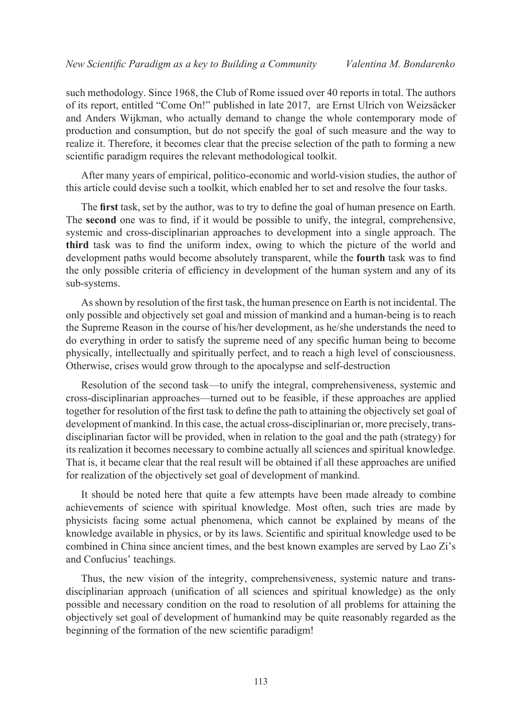such methodology. Since 1968, the Club of Rome issued over 40 reports in total. The authors of its report, entitled "Come On!" published in late 2017, are Ernst Ulrich von Weizsäcker and Anders Wijkman, who actually demand to change the whole contemporary mode of production and consumption, but do not specify the goal of such measure and the way to realize it. Therefore, it becomes clear that the precise selection of the path to forming a new scientific paradigm requires the relevant methodological toolkit.

After many years of empirical, politico-economic and world-vision studies, the author of this article could devise such a toolkit, which enabled her to set and resolve the four tasks.

The **first** task, set by the author, was to try to define the goal of human presence on Earth. The **second** one was to find, if it would be possible to unify, the integral, comprehensive, systemic and cross-disciplinarian approaches to development into a single approach. The **third** task was to find the uniform index, owing to which the picture of the world and development paths would become absolutely transparent, while the **fourth** task was to find the only possible criteria of efficiency in development of the human system and any of its sub-systems.

As shown by resolution of the first task, the human presence on Earth is not incidental. The only possible and objectively set goal and mission of mankind and a human-being is to reach the Supreme Reason in the course of his/her development, as he/she understands the need to do everything in order to satisfy the supreme need of any specific human being to become physically, intellectually and spiritually perfect, and to reach a high level of consciousness. Otherwise, crises would grow through to the apocalypse and self-destruction

Resolution of the second task—to unify the integral, comprehensiveness, systemic and cross-disciplinarian approaches—turned out to be feasible, if these approaches are applied together for resolution of the first task to define the path to attaining the objectively set goal of development of mankind. In this case, the actual cross-disciplinarian or, more precisely, transdisciplinarian factor will be provided, when in relation to the goal and the path (strategy) for its realization it becomes necessary to combine actually all sciences and spiritual knowledge. That is, it became clear that the real result will be obtained if all these approaches are unified for realization of the objectively set goal of development of mankind.

It should be noted here that quite a few attempts have been made already to combine achievements of science with spiritual knowledge. Most often, such tries are made by physicists facing some actual phenomena, which cannot be explained by means of the knowledge available in physics, or by its laws. Scientific and spiritual knowledge used to be combined in China since ancient times, and the best known examples are served by Lao Zi's and Confucius' teachings.

Thus, the new vision of the integrity, comprehensiveness, systemic nature and transdisciplinarian approach (unification of all sciences and spiritual knowledge) as the only possible and necessary condition on the road to resolution of all problems for attaining the objectively set goal of development of humankind may be quite reasonably regarded as the beginning of the formation of the new scientific paradigm!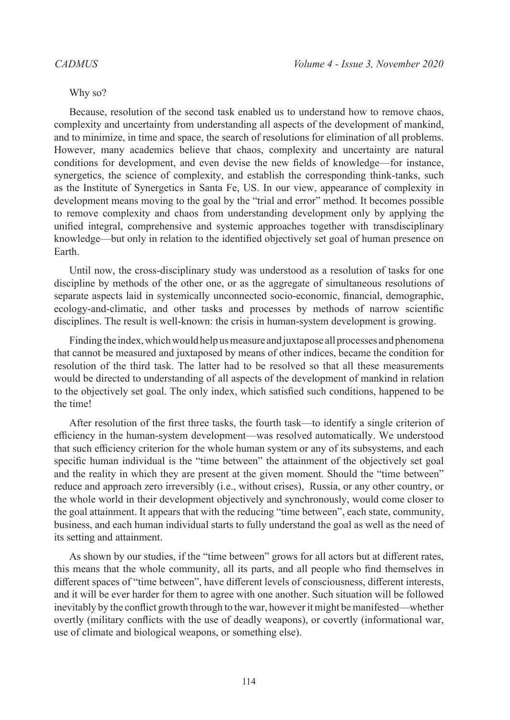### Why so?

Because, resolution of the second task enabled us to understand how to remove chaos, complexity and uncertainty from understanding all aspects of the development of mankind, and to minimize, in time and space, the search of resolutions for elimination of all problems. However, many academics believe that chaos, complexity and uncertainty are natural conditions for development, and even devise the new fields of knowledge—for instance, synergetics, the science of complexity, and establish the corresponding think-tanks, such as the Institute of Synergetics in Santa Fe, US. In our view, appearance of complexity in development means moving to the goal by the "trial and error" method. It becomes possible to remove complexity and chaos from understanding development only by applying the unified integral, comprehensive and systemic approaches together with transdisciplinary knowledge—but only in relation to the identified objectively set goal of human presence on Earth.

Until now, the cross-disciplinary study was understood as a resolution of tasks for one discipline by methods of the other one, or as the aggregate of simultaneous resolutions of separate aspects laid in systemically unconnected socio-economic, financial, demographic, ecology-and-climatic, and other tasks and processes by methods of narrow scientific disciplines. The result is well-known: the crisis in human-system development is growing.

Finding the index, which would help us measure and juxtapose all processes and phenomena that cannot be measured and juxtaposed by means of other indices, became the condition for resolution of the third task. The latter had to be resolved so that all these measurements would be directed to understanding of all aspects of the development of mankind in relation to the objectively set goal. The only index, which satisfied such conditions, happened to be the time!

After resolution of the first three tasks, the fourth task—to identify a single criterion of efficiency in the human-system development—was resolved automatically. We understood that such efficiency criterion for the whole human system or any of its subsystems, and each specific human individual is the "time between" the attainment of the objectively set goal and the reality in which they are present at the given moment. Should the "time between" reduce and approach zero irreversibly (i.e., without crises), Russia, or any other country, or the whole world in their development objectively and synchronously, would come closer to the goal attainment. It appears that with the reducing "time between", each state, community, business, and each human individual starts to fully understand the goal as well as the need of its setting and attainment.

As shown by our studies, if the "time between" grows for all actors but at different rates, this means that the whole community, all its parts, and all people who find themselves in different spaces of "time between", have different levels of consciousness, different interests, and it will be ever harder for them to agree with one another. Such situation will be followed inevitably by the conflict growth through to the war, however it might be manifested—whether overtly (military conflicts with the use of deadly weapons), or covertly (informational war, use of climate and biological weapons, or something else).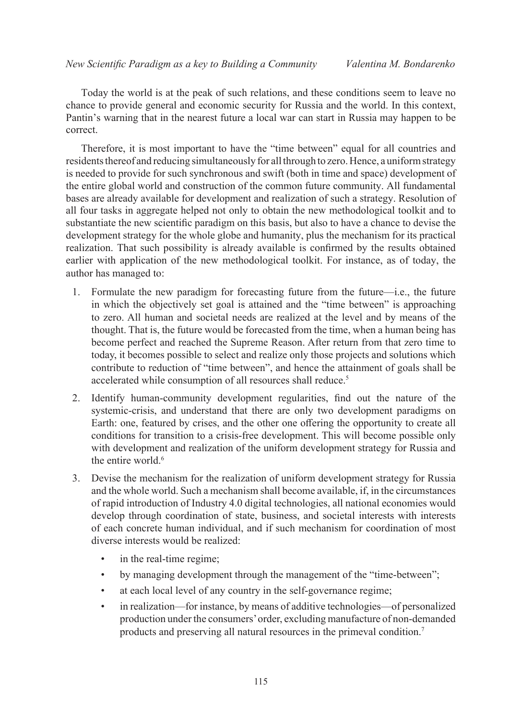Today the world is at the peak of such relations, and these conditions seem to leave no chance to provide general and economic security for Russia and the world. In this context, Pantin's warning that in the nearest future a local war can start in Russia may happen to be correct.

Therefore, it is most important to have the "time between" equal for all countries and residents thereof and reducing simultaneously for all through to zero. Hence, a uniform strategy is needed to provide for such synchronous and swift (both in time and space) development of the entire global world and construction of the common future community. All fundamental bases are already available for development and realization of such a strategy. Resolution of all four tasks in aggregate helped not only to obtain the new methodological toolkit and to substantiate the new scientific paradigm on this basis, but also to have a chance to devise the development strategy for the whole globe and humanity, plus the mechanism for its practical realization. That such possibility is already available is confirmed by the results obtained earlier with application of the new methodological toolkit. For instance, as of today, the author has managed to:

- 1. Formulate the new paradigm for forecasting future from the future—i.e., the future in which the objectively set goal is attained and the "time between" is approaching to zero. All human and societal needs are realized at the level and by means of the thought. That is, the future would be forecasted from the time, when a human being has become perfect and reached the Supreme Reason. After return from that zero time to today, it becomes possible to select and realize only those projects and solutions which contribute to reduction of "time between", and hence the attainment of goals shall be accelerated while consumption of all resources shall reduce.<sup>[5](#page-8-4)</sup>
- 2. Identify human-community development regularities, find out the nature of the systemic-crisis, and understand that there are only two development paradigms on Earth: one, featured by crises, and the other one offering the opportunity to create all conditions for transition to a crisis-free development. This will become possible only with development and realization of the uniform development strategy for Russia and the entire world.<sup>6</sup>
- 3. Devise the mechanism for the realization of uniform development strategy for Russia and the whole world. Such a mechanism shall become available, if, in the circumstances of rapid introduction of Industry 4.0 digital technologies, all national economies would develop through coordination of state, business, and societal interests with interests of each concrete human individual, and if such mechanism for coordination of most diverse interests would be realized:
	- in the real-time regime;
	- by managing development through the management of the "time-between";
	- at each local level of any country in the self-governance regime;
	- in realization—for instance, by means of additive technologies—of personalized production under the consumers' order, excluding manufacture of non-demanded products and preserving all natural resources in the primeval condition[.7](#page-8-6)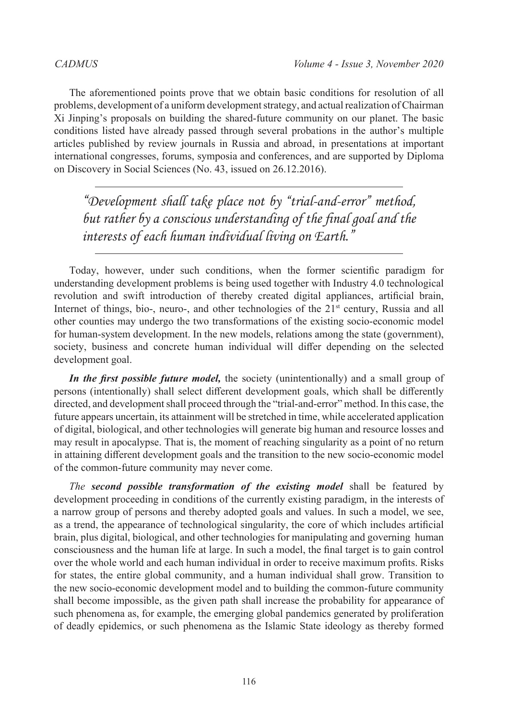The aforementioned points prove that we obtain basic conditions for resolution of all problems, development of a uniform development strategy, and actual realization of Chairman Xi Jinping's proposals on building the shared-future community on our planet. The basic conditions listed have already passed through several probations in the author's multiple articles published by review journals in Russia and abroad, in presentations at important international congresses, forums, symposia and conferences, and are supported by Diploma on Discovery in Social Sciences (No. 43, issued on 26.12.2016).

*"Development shall take place not by "trial-and-error" method, but rather by a conscious understanding of the final goal and the interests of each human individual living on Earth."*

Today, however, under such conditions, when the former scientific paradigm for understanding development problems is being used together with Industry 4.0 technological revolution and swift introduction of thereby created digital appliances, artificial brain, Internet of things, bio-, neuro-, and other technologies of the  $21<sup>st</sup>$  century, Russia and all other counties may undergo the two transformations of the existing socio-economic model for human-system development. In the new models, relations among the state (government), society, business and concrete human individual will differ depending on the selected development goal.

*In the first possible future model,* the society (unintentionally) and a small group of persons (intentionally) shall select different development goals, which shall be differently directed, and development shall proceed through the "trial-and-error" method. In this case, the future appears uncertain, its attainment will be stretched in time, while accelerated application of digital, biological, and other technologies will generate big human and resource losses and may result in apocalypse. That is, the moment of reaching singularity as a point of no return in attaining different development goals and the transition to the new socio-economic model of the common-future community may never come.

*The second possible transformation of the existing model* shall be featured by development proceeding in conditions of the currently existing paradigm, in the interests of a narrow group of persons and thereby adopted goals and values. In such a model, we see, as a trend, the appearance of technological singularity, the core of which includes artificial brain, plus digital, biological, and other technologies for manipulating and governing human consciousness and the human life at large. In such a model, the final target is to gain control over the whole world and each human individual in order to receive maximum profits. Risks for states, the entire global community, and a human individual shall grow. Transition to the new socio-economic development model and to building the common-future community shall become impossible, as the given path shall increase the probability for appearance of such phenomena as, for example, the emerging global pandemics generated by proliferation of deadly epidemics, or such phenomena as the Islamic State ideology as thereby formed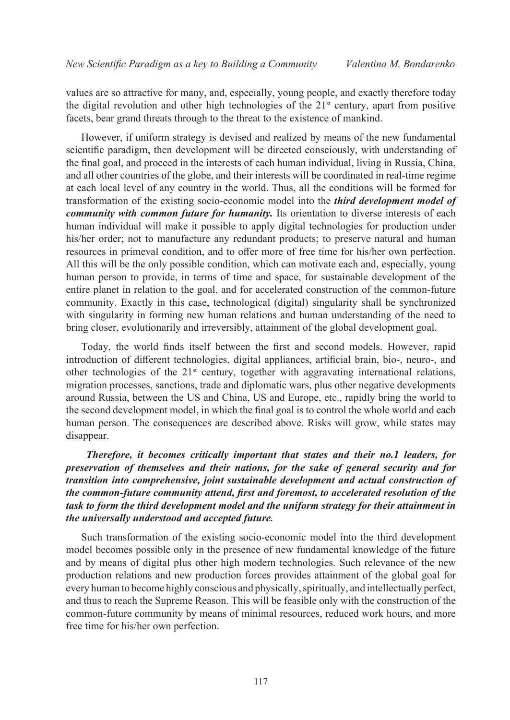values are so attractive for many, and, especially, young people, and exactly therefore today the digital revolution and other high technologies of the  $21<sup>st</sup>$  century, apart from positive facets, bear grand threats through to the threat to the existence of mankind.

However, if uniform strategy is devised and realized by means of the new fundamental scientific paradigm, then development will be directed consciously, with understanding of the final goal, and proceed in the interests of each human individual, living in Russia, China, and all other countries of the globe, and their interests will be coordinated in real-time regime at each local level of any country in the world. Thus, all the conditions will be formed for transformation of the existing socio-economic model into the *third development model of community with common future for humanity*. Its orientation to diverse interests of each human individual will make it possible to apply digital technologies for production under his/her order; not to manufacture any redundant products; to preserve natural and human resources in primeval condition, and to offer more of free time for his/her own perfection. All this will be the only possible condition, which can motivate each and, especially, young human person to provide, in terms of time and space, for sustainable development of the entire planet in relation to the goal, and for accelerated construction of the common-future community. Exactly in this case, technological (digital) singularity shall be synchronized with singularity in forming new human relations and human understanding of the need to bring closer, evolutionarily and irreversibly, attainment of the global development goal.

Today, the world finds itself between the first and second models. However, rapid introduction of different technologies, digital appliances, artificial brain, bio-, neuro-, and other technologies of the  $21<sup>st</sup>$  century, together with aggravating international relations, migration processes, sanctions, trade and diplomatic wars, plus other negative developments around Russia, between the US and China, US and Europe, etc., rapidly bring the world to the second development model, in which the final goal is to control the whole world and each human person. The consequences are described above. Risks will grow, while states may disappear.

 *Therefore, it becomes critically important that states and their no.1 leaders, for preservation of themselves and their nations, for the sake of general security and for transition into comprehensive, joint sustainable development and actual construction of the common-future community attend, first and foremost, to accelerated resolution of the task to form the third development model and the uniform strategy for their attainment in the universally understood and accepted future.*

Such transformation of the existing socio-economic model into the third development model becomes possible only in the presence of new fundamental knowledge of the future and by means of digital plus other high modern technologies. Such relevance of the new production relations and new production forces provides attainment of the global goal for every human to become highly conscious and physically, spiritually, and intellectually perfect, and thus to reach the Supreme Reason. This will be feasible only with the construction of the common-future community by means of minimal resources, reduced work hours, and more free time for his/her own perfection.